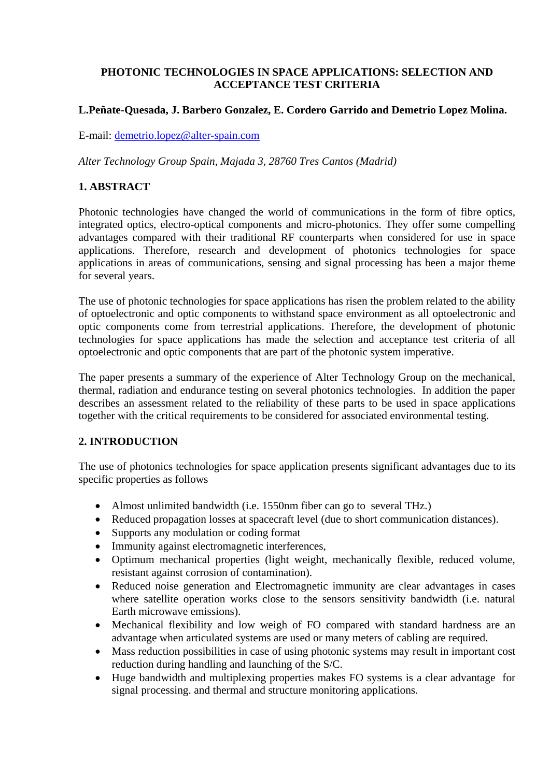### **PHOTONIC TECHNOLOGIES IN SPACE APPLICATIONS: SELECTION AND ACCEPTANCE TEST CRITERIA**

## **L.Peñate-Quesada, J. Barbero Gonzalez, E. Cordero Garrido and Demetrio Lopez Molina.**

E-mail: [demetrio.lopez@alter-spain.com](mailto:demetrio.lopez@alter-spain.com)

*Alter Technology Group Spain, Majada 3, 28760 Tres Cantos (Madrid)*

### **1. ABSTRACT**

Photonic technologies have changed the world of communications in the form of fibre optics, integrated optics, electro-optical components and micro-photonics. They offer some compelling advantages compared with their traditional RF counterparts when considered for use in space applications. Therefore, research and development of photonics technologies for space applications in areas of communications, sensing and signal processing has been a major theme for several years.

The use of photonic technologies for space applications has risen the problem related to the ability of optoelectronic and optic components to withstand space environment as all optoelectronic and optic components come from terrestrial applications. Therefore, the development of photonic technologies for space applications has made the selection and acceptance test criteria of all optoelectronic and optic components that are part of the photonic system imperative.

The paper presents a summary of the experience of Alter Technology Group on the mechanical, thermal, radiation and endurance testing on several photonics technologies. In addition the paper describes an assessment related to the reliability of these parts to be used in space applications together with the critical requirements to be considered for associated environmental testing.

### **2. INTRODUCTION**

The use of photonics technologies for space application presents significant advantages due to its specific properties as follows

- Almost unlimited bandwidth (i.e. 1550nm fiber can go to several THz.)
- Reduced propagation losses at spacecraft level (due to short communication distances).
- Supports any modulation or coding format
- Immunity against electromagnetic interferences,
- Optimum mechanical properties (light weight, mechanically flexible, reduced volume, resistant against corrosion of contamination).
- Reduced noise generation and Electromagnetic immunity are clear advantages in cases where satellite operation works close to the sensors sensitivity bandwidth (i.e. natural Earth microwave emissions).
- Mechanical flexibility and low weigh of FO compared with standard hardness are an advantage when articulated systems are used or many meters of cabling are required.
- Mass reduction possibilities in case of using photonic systems may result in important cost reduction during handling and launching of the S/C.
- Huge bandwidth and multiplexing properties makes FO systems is a clear advantage for signal processing. and thermal and structure monitoring applications.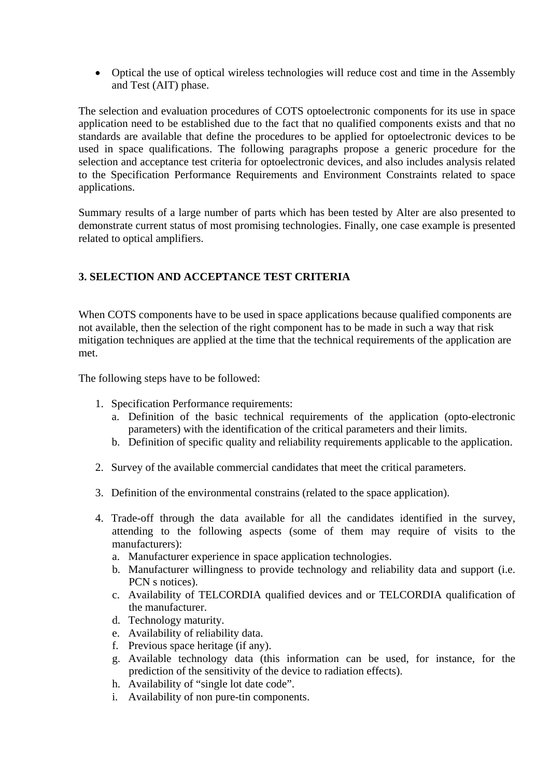• Optical the use of optical wireless technologies will reduce cost and time in the Assembly and Test (AIT) phase.

The selection and evaluation procedures of COTS optoelectronic components for its use in space application need to be established due to the fact that no qualified components exists and that no standards are available that define the procedures to be applied for optoelectronic devices to be used in space qualifications. The following paragraphs propose a generic procedure for the selection and acceptance test criteria for optoelectronic devices, and also includes analysis related to the Specification Performance Requirements and Environment Constraints related to space applications.

Summary results of a large number of parts which has been tested by Alter are also presented to demonstrate current status of most promising technologies. Finally, one case example is presented related to optical amplifiers.

# **3. SELECTION AND ACCEPTANCE TEST CRITERIA**

When COTS components have to be used in space applications because qualified components are not available, then the selection of the right component has to be made in such a way that risk mitigation techniques are applied at the time that the technical requirements of the application are met.

The following steps have to be followed:

- 1. Specification Performance requirements:
	- a. Definition of the basic technical requirements of the application (opto-electronic parameters) with the identification of the critical parameters and their limits.
	- b. Definition of specific quality and reliability requirements applicable to the application.
- 2. Survey of the available commercial candidates that meet the critical parameters.
- 3. Definition of the environmental constrains (related to the space application).
- 4. Trade-off through the data available for all the candidates identified in the survey, attending to the following aspects (some of them may require of visits to the manufacturers):
	- a. Manufacturer experience in space application technologies.
	- b. Manufacturer willingness to provide technology and reliability data and support (i.e. PCN s notices).
	- c. Availability of TELCORDIA qualified devices and or TELCORDIA qualification of the manufacturer.
	- d. Technology maturity.
	- e. Availability of reliability data.
	- f. Previous space heritage (if any).
	- g. Available technology data (this information can be used, for instance, for the prediction of the sensitivity of the device to radiation effects).
	- h. Availability of "single lot date code".
	- i. Availability of non pure-tin components.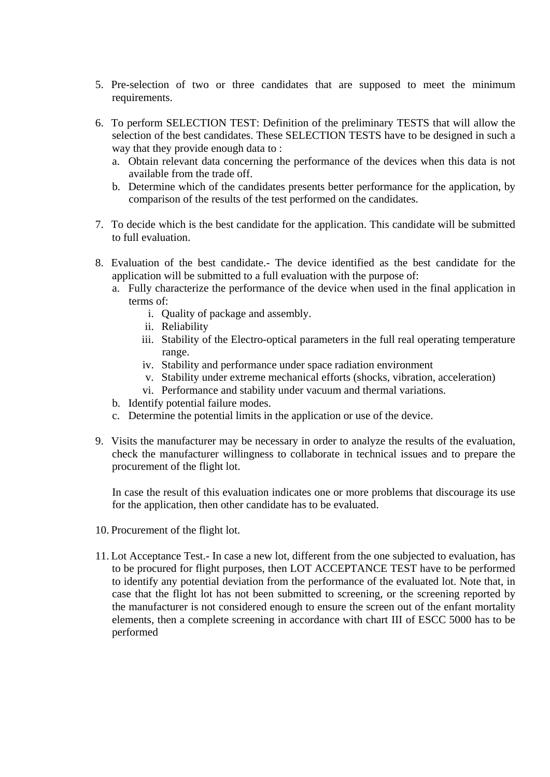- 5. Pre-selection of two or three candidates that are supposed to meet the minimum requirements.
- 6. To perform SELECTION TEST: Definition of the preliminary TESTS that will allow the selection of the best candidates. These SELECTION TESTS have to be designed in such a way that they provide enough data to :
	- a. Obtain relevant data concerning the performance of the devices when this data is not available from the trade off.
	- b. Determine which of the candidates presents better performance for the application, by comparison of the results of the test performed on the candidates.
- 7. To decide which is the best candidate for the application. This candidate will be submitted to full evaluation.
- 8. Evaluation of the best candidate.- The device identified as the best candidate for the application will be submitted to a full evaluation with the purpose of:
	- a. Fully characterize the performance of the device when used in the final application in terms of:
		- i. Quality of package and assembly.
		- ii. Reliability
		- iii. Stability of the Electro-optical parameters in the full real operating temperature range.
		- iv. Stability and performance under space radiation environment
		- v. Stability under extreme mechanical efforts (shocks, vibration, acceleration)
		- vi. Performance and stability under vacuum and thermal variations.
	- b. Identify potential failure modes.
	- c. Determine the potential limits in the application or use of the device.
- 9. Visits the manufacturer may be necessary in order to analyze the results of the evaluation, check the manufacturer willingness to collaborate in technical issues and to prepare the procurement of the flight lot.

In case the result of this evaluation indicates one or more problems that discourage its use for the application, then other candidate has to be evaluated.

- 10. Procurement of the flight lot.
- 11. Lot Acceptance Test.- In case a new lot, different from the one subjected to evaluation, has to be procured for flight purposes, then LOT ACCEPTANCE TEST have to be performed to identify any potential deviation from the performance of the evaluated lot. Note that, in case that the flight lot has not been submitted to screening, or the screening reported by the manufacturer is not considered enough to ensure the screen out of the enfant mortality elements, then a complete screening in accordance with chart III of ESCC 5000 has to be performed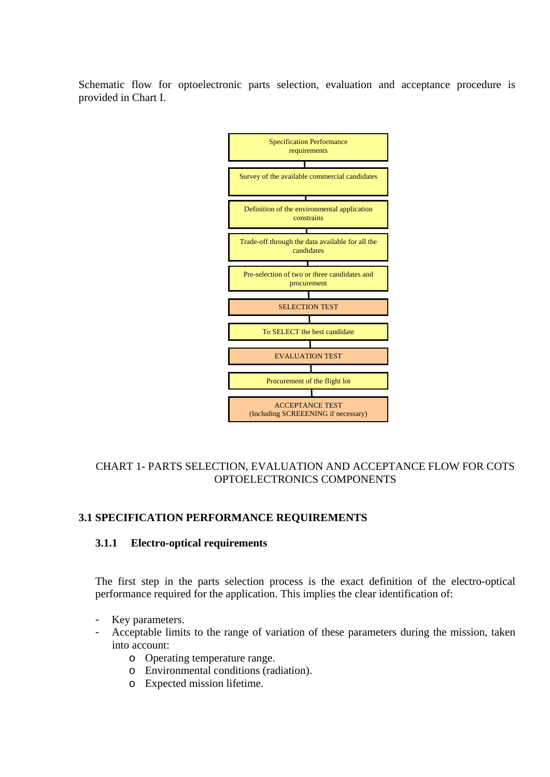Schematic flow for optoelectronic parts selection, evaluation and acceptance procedure is provided in Chart I.



### CHART 1- PARTS SELECTION, EVALUATION AND ACCEPTANCE FLOW FOR COTS OPTOELECTRONICS COMPONENTS

### **3.1 SPECIFICATION PERFORMANCE REQUIREMENTS**

#### **3.1.1 Electro-optical requirements**

The first step in the parts selection process is the exact definition of the electro-optical performance required for the application. This implies the clear identification of:

- Key parameters.
- Acceptable limits to the range of variation of these parameters during the mission, taken into account:
	- o Operating temperature range.
	- o Environmental conditions (radiation).
	- o Expected mission lifetime.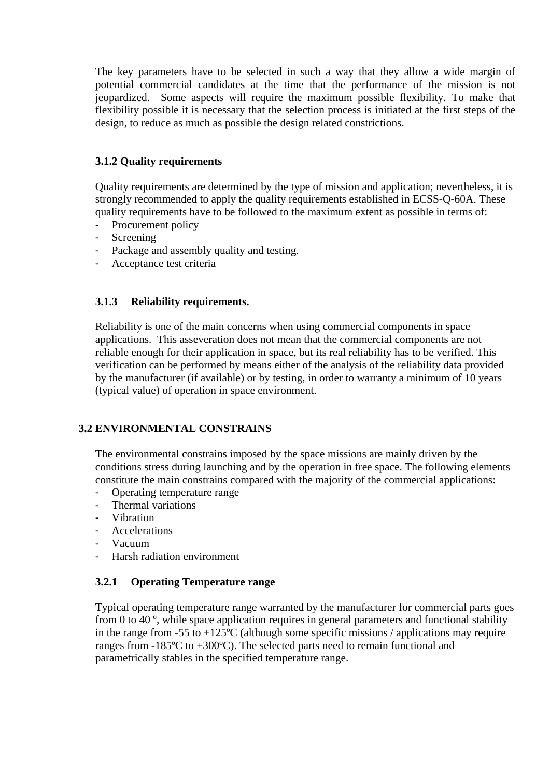The key parameters have to be selected in such a way that they allow a wide margin of potential commercial candidates at the time that the performance of the mission is not jeopardized. Some aspects will require the maximum possible flexibility. To make that flexibility possible it is necessary that the selection process is initiated at the first steps of the design, to reduce as much as possible the design related constrictions.

## **3.1.2 Quality requirements**

Quality requirements are determined by the type of mission and application; nevertheless, it is strongly recommended to apply the quality requirements established in ECSS-Q-60A. These quality requirements have to be followed to the maximum extent as possible in terms of:

- Procurement policy
- Screening
- Package and assembly quality and testing.
- Acceptance test criteria

### **3.1.3 Reliability requirements.**

Reliability is one of the main concerns when using commercial components in space applications. This asseveration does not mean that the commercial components are not reliable enough for their application in space, but its real reliability has to be verified. This verification can be performed by means either of the analysis of the reliability data provided by the manufacturer (if available) or by testing, in order to warranty a minimum of 10 years (typical value) of operation in space environment.

### **3.2 ENVIRONMENTAL CONSTRAINS**

The environmental constrains imposed by the space missions are mainly driven by the conditions stress during launching and by the operation in free space. The following elements constitute the main constrains compared with the majority of the commercial applications:

- Operating temperature range
- Thermal variations
- Vibration
- Accelerations
- Vacuum
- Harsh radiation environment

### **3.2.1 Operating Temperature range**

Typical operating temperature range warranted by the manufacturer for commercial parts goes from 0 to 40 º, while space application requires in general parameters and functional stability in the range from -55 to  $+125^{\circ}$ C (although some specific missions / applications may require ranges from -185ºC to +300ºC). The selected parts need to remain functional and parametrically stables in the specified temperature range.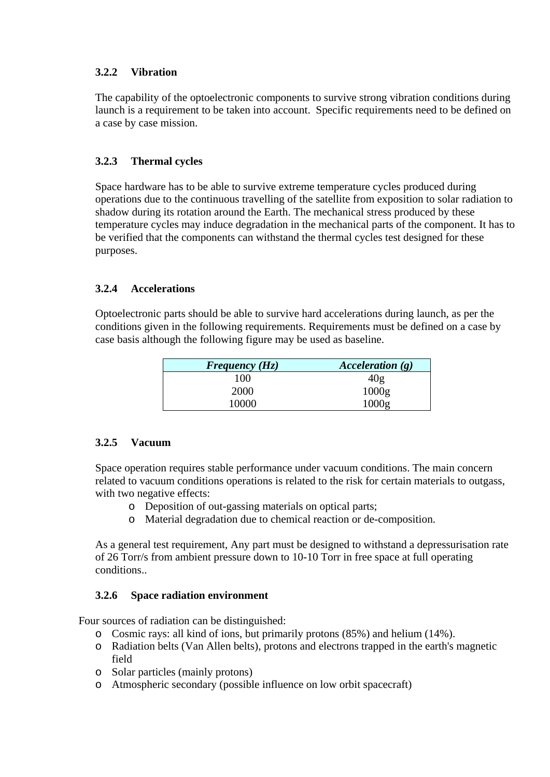## **3.2.2 Vibration**

The capability of the optoelectronic components to survive strong vibration conditions during launch is a requirement to be taken into account. Specific requirements need to be defined on a case by case mission.

## **3.2.3 Thermal cycles**

Space hardware has to be able to survive extreme temperature cycles produced during operations due to the continuous travelling of the satellite from exposition to solar radiation to shadow during its rotation around the Earth. The mechanical stress produced by these temperature cycles may induce degradation in the mechanical parts of the component. It has to be verified that the components can withstand the thermal cycles test designed for these purposes.

## **3.2.4 Accelerations**

Optoelectronic parts should be able to survive hard accelerations during launch, as per the conditions given in the following requirements. Requirements must be defined on a case by case basis although the following figure may be used as baseline.

| Frequency $(Hz)$ | Acceleration $(g)$ |
|------------------|--------------------|
| 100              | 40g                |
| 2000             | 1000g              |
| 10000            | 1000g              |

### **3.2.5 Vacuum**

Space operation requires stable performance under vacuum conditions. The main concern related to vacuum conditions operations is related to the risk for certain materials to outgass, with two negative effects:

- o Deposition of out-gassing materials on optical parts;
- o Material degradation due to chemical reaction or de-composition.

As a general test requirement, Any part must be designed to withstand a depressurisation rate of 26 Torr/s from ambient pressure down to 10-10 Torr in free space at full operating conditions..

### **3.2.6 Space radiation environment**

Four sources of radiation can be distinguished:

- o Cosmic rays: all kind of ions, but primarily protons (85%) and helium (14%).
- o Radiation belts (Van Allen belts), protons and electrons trapped in the earth's magnetic field
- o Solar particles (mainly protons)
- o Atmospheric secondary (possible influence on low orbit spacecraft)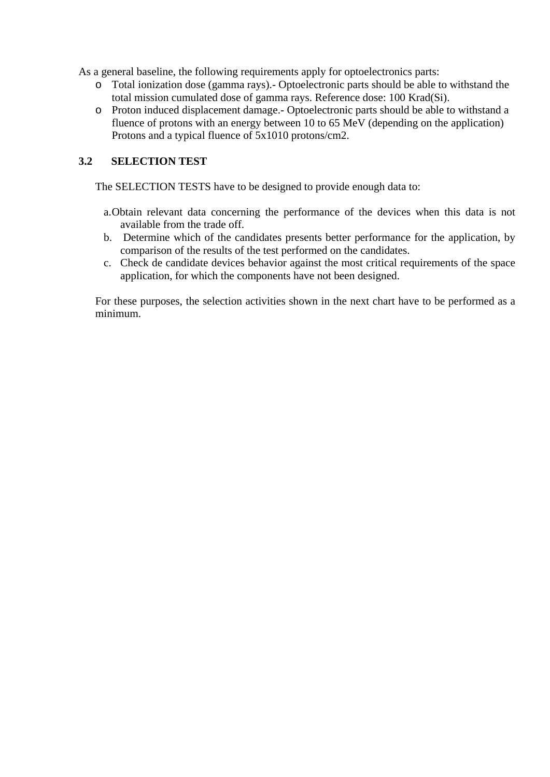As a general baseline, the following requirements apply for optoelectronics parts:

- o Total ionization dose (gamma rays).- Optoelectronic parts should be able to withstand the total mission cumulated dose of gamma rays. Reference dose: 100 Krad(Si).
- o Proton induced displacement damage.- Optoelectronic parts should be able to withstand a fluence of protons with an energy between 10 to 65 MeV (depending on the application) Protons and a typical fluence of 5x1010 protons/cm2.

## **3.2 SELECTION TEST**

The SELECTION TESTS have to be designed to provide enough data to:

- a.Obtain relevant data concerning the performance of the devices when this data is not available from the trade off.
- b. Determine which of the candidates presents better performance for the application, by comparison of the results of the test performed on the candidates.
- c. Check de candidate devices behavior against the most critical requirements of the space application, for which the components have not been designed.

For these purposes, the selection activities shown in the next chart have to be performed as a minimum.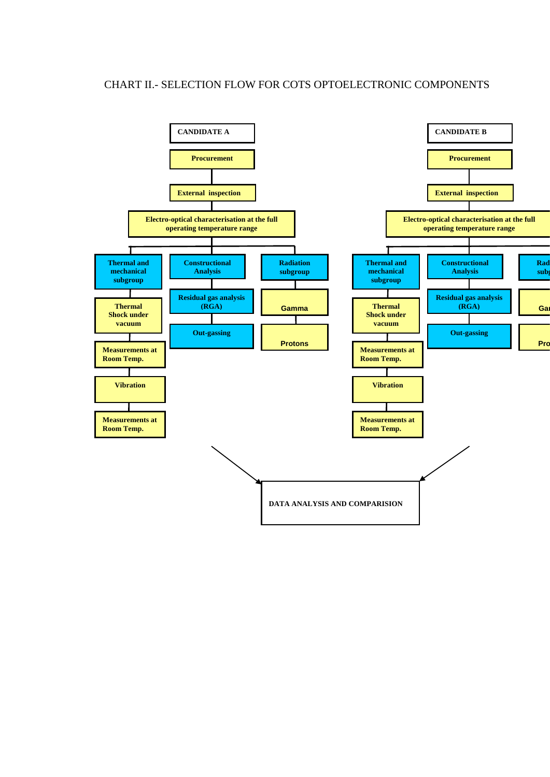#### CHART II.- SELECTION FLOW FOR COTS OPTOELECTRONIC COMPONENTS

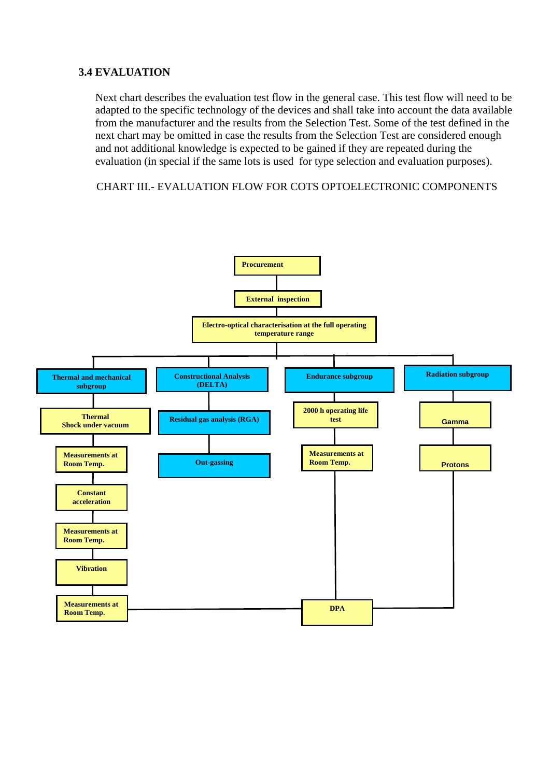### **3.4 EVALUATION**

Next chart describes the evaluation test flow in the general case. This test flow will need to be adapted to the specific technology of the devices and shall take into account the data available from the manufacturer and the results from the Selection Test. Some of the test defined in the next chart may be omitted in case the results from the Selection Test are considered enough and not additional knowledge is expected to be gained if they are repeated during the evaluation (in special if the same lots is used for type selection and evaluation purposes).

CHART III.- EVALUATION FLOW FOR COTS OPTOELECTRONIC COMPONENTS

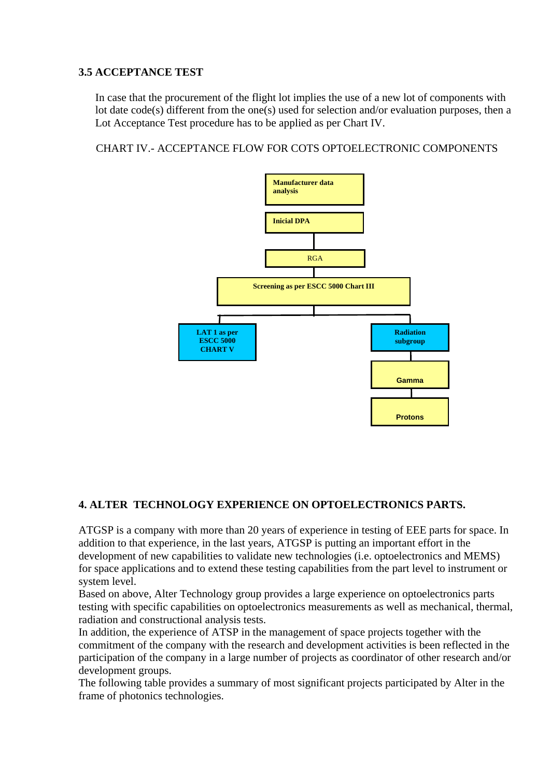## **3.5 ACCEPTANCE TEST**

In case that the procurement of the flight lot implies the use of a new lot of components with lot date code(s) different from the one(s) used for selection and/or evaluation purposes, then a Lot Acceptance Test procedure has to be applied as per Chart IV.

CHART IV.- ACCEPTANCE FLOW FOR COTS OPTOELECTRONIC COMPONENTS



# **4. ALTER TECHNOLOGY EXPERIENCE ON OPTOELECTRONICS PARTS.**

ATGSP is a company with more than 20 years of experience in testing of EEE parts for space. In addition to that experience, in the last years, ATGSP is putting an important effort in the development of new capabilities to validate new technologies (i.e. optoelectronics and MEMS) for space applications and to extend these testing capabilities from the part level to instrument or system level.

Based on above, Alter Technology group provides a large experience on optoelectronics parts testing with specific capabilities on optoelectronics measurements as well as mechanical, thermal, radiation and constructional analysis tests.

In addition, the experience of ATSP in the management of space projects together with the commitment of the company with the research and development activities is been reflected in the participation of the company in a large number of projects as coordinator of other research and/or development groups.

The following table provides a summary of most significant projects participated by Alter in the frame of photonics technologies.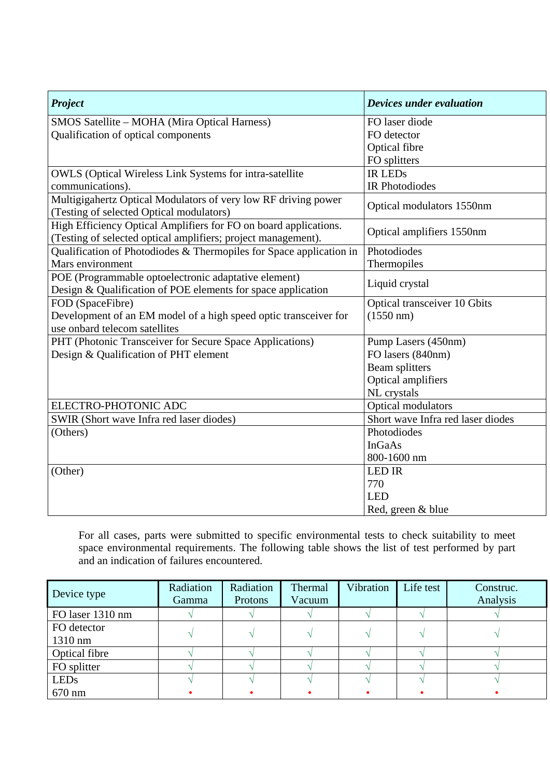| <b>Project</b>                                                                                                                    | Devices under evaluation          |
|-----------------------------------------------------------------------------------------------------------------------------------|-----------------------------------|
| SMOS Satellite - MOHA (Mira Optical Harness)                                                                                      | FO laser diode                    |
| Qualification of optical components                                                                                               | FO detector                       |
|                                                                                                                                   | Optical fibre                     |
|                                                                                                                                   | FO splitters                      |
| <b>OWLS</b> (Optical Wireless Link Systems for intra-satellite                                                                    | <b>IR LEDS</b>                    |
| communications).                                                                                                                  | <b>IR Photodiodes</b>             |
| Multigigahertz Optical Modulators of very low RF driving power<br>(Testing of selected Optical modulators)                        | Optical modulators 1550nm         |
| High Efficiency Optical Amplifiers for FO on board applications.<br>(Testing of selected optical amplifiers; project management). | Optical amplifiers 1550nm         |
| Qualification of Photodiodes & Thermopiles for Space application in                                                               | Photodiodes                       |
| Mars environment                                                                                                                  | Thermopiles                       |
| POE (Programmable optoelectronic adaptative element)<br>Design & Qualification of POE elements for space application              | Liquid crystal                    |
| FOD (SpaceFibre)                                                                                                                  | Optical transceiver 10 Gbits      |
| Development of an EM model of a high speed optic transceiver for                                                                  | $(1550 \text{ nm})$               |
| use onbard telecom satellites                                                                                                     |                                   |
| PHT (Photonic Transceiver for Secure Space Applications)                                                                          | Pump Lasers (450nm)               |
| Design & Qualification of PHT element                                                                                             | FO lasers (840nm)                 |
|                                                                                                                                   | <b>Beam splitters</b>             |
|                                                                                                                                   | Optical amplifiers                |
|                                                                                                                                   | NL crystals                       |
| ELECTRO-PHOTONIC ADC                                                                                                              | Optical modulators                |
| SWIR (Short wave Infra red laser diodes)                                                                                          | Short wave Infra red laser diodes |
| (Others)                                                                                                                          | Photodiodes                       |
|                                                                                                                                   | <b>InGaAs</b>                     |
|                                                                                                                                   | 800-1600 nm                       |
| (Other)                                                                                                                           | <b>LED IR</b>                     |
|                                                                                                                                   | 770                               |
|                                                                                                                                   | <b>LED</b>                        |
|                                                                                                                                   | Red, green & blue                 |

For all cases, parts were submitted to specific environmental tests to check suitability to meet space environmental requirements. The following table shows the list of test performed by part and an indication of failures encountered.

| Device type              | Radiation<br>Gamma | Radiation<br>Protons | Thermal<br>Vacuum | Vibration | Life test | Construc.<br>Analysis |
|--------------------------|--------------------|----------------------|-------------------|-----------|-----------|-----------------------|
| FO laser 1310 nm         |                    |                      |                   |           |           |                       |
| FO detector<br>$1310$ nm |                    |                      |                   |           |           |                       |
| Optical fibre            |                    |                      |                   |           |           |                       |
| FO splitter              |                    |                      |                   |           |           |                       |
| <b>LEDs</b>              |                    |                      |                   |           |           |                       |
| 670 nm                   |                    |                      |                   |           |           |                       |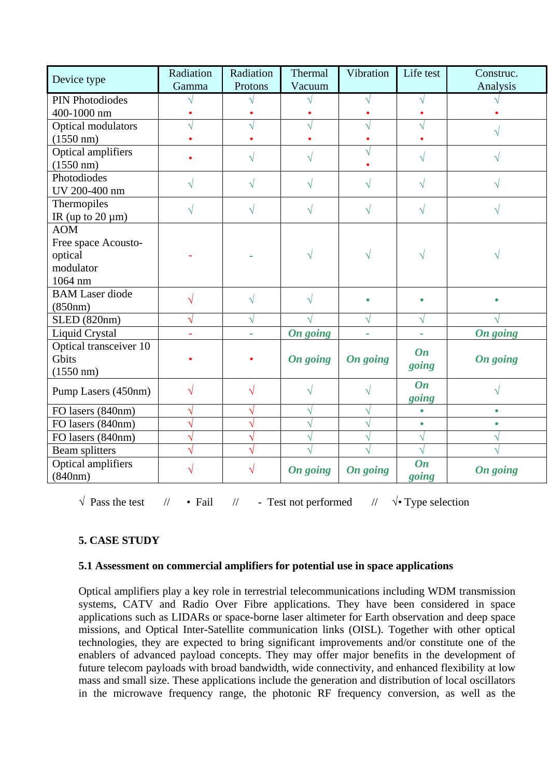| Device type                   | Radiation<br>Gamma | Radiation<br>Protons | Thermal<br>Vacuum | Vibration | Life test          | Construc.<br>Analysis |
|-------------------------------|--------------------|----------------------|-------------------|-----------|--------------------|-----------------------|
| <b>PIN Photodiodes</b>        |                    |                      |                   |           |                    |                       |
| 400-1000 nm                   |                    |                      |                   |           |                    |                       |
| Optical modulators            |                    |                      |                   |           |                    |                       |
| $(1550 \text{ nm})$           |                    |                      |                   |           |                    |                       |
| Optical amplifiers            |                    |                      |                   |           | ٦Ι                 |                       |
| $(1550 \text{ nm})$           |                    |                      |                   |           |                    |                       |
| Photodiodes                   |                    | N                    |                   | V         | V                  |                       |
| UV 200-400 nm                 |                    |                      |                   |           |                    |                       |
| Thermopiles                   |                    | N                    |                   | V         | V                  |                       |
| IR (up to $20 \mu m$ )        |                    |                      |                   |           |                    |                       |
| <b>AOM</b>                    |                    |                      |                   |           |                    |                       |
| Free space Acousto-           |                    |                      |                   |           |                    |                       |
| optical                       |                    |                      |                   |           |                    |                       |
| modulator                     |                    |                      |                   |           |                    |                       |
| 1064 nm                       |                    |                      |                   |           |                    |                       |
| <b>BAM</b> Laser diode        |                    | V                    |                   |           |                    |                       |
| (850nm)                       |                    |                      |                   |           |                    |                       |
| <b>SLED</b> (820nm)           | N                  | N                    |                   | V         | V                  |                       |
| <b>Liquid Crystal</b>         |                    |                      | <b>On going</b>   |           |                    | <b>On going</b>       |
| Optical transceiver 10        |                    |                      |                   |           | On                 |                       |
| Gbits                         |                    |                      | On going          | On going  | going              | <b>On going</b>       |
| $(1550 \text{ nm})$           |                    |                      |                   |           |                    |                       |
| Pump Lasers (450nm)           |                    | V                    |                   | V         | On                 |                       |
|                               |                    |                      |                   |           | going              |                       |
| FO lasers (840nm)             |                    | N                    |                   | V         | $\bullet$          | $\bullet$             |
| FO lasers (840nm)             |                    | N                    |                   | N         | $\bullet$          | $\bullet$             |
| FO lasers (840nm)             |                    | Ñ                    |                   | V         | V                  |                       |
| Beam splitters                |                    |                      |                   |           | N                  |                       |
| Optical amplifiers<br>(840nm) |                    |                      | On going          | On going  | <b>On</b><br>going | On going              |

*√* Pass the test // *•* Fail // - Test not performed // *å* Type selection

# **5. CASE STUDY**

### **5.1 Assessment on commercial amplifiers for potential use in space applications**

Optical amplifiers play a key role in terrestrial telecommunications including WDM transmission systems, CATV and Radio Over Fibre applications. They have been considered in space applications such as LIDARs or space-borne laser altimeter for Earth observation and deep space missions, and Optical Inter-Satellite communication links (OISL). Together with other optical technologies, they are expected to bring significant improvements and/or constitute one of the enablers of advanced payload concepts. They may offer major benefits in the development of future telecom payloads with broad bandwidth, wide connectivity, and enhanced flexibility at low mass and small size. These applications include the generation and distribution of local oscillators in the microwave frequency range, the photonic RF frequency conversion, as well as the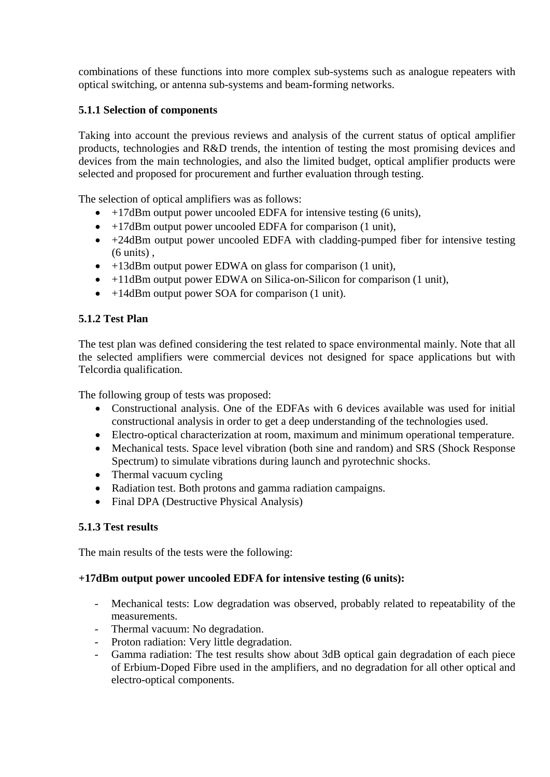combinations of these functions into more complex sub-systems such as analogue repeaters with optical switching, or antenna sub-systems and beam-forming networks.

## **5.1.1 Selection of components**

Taking into account the previous reviews and analysis of the current status of optical amplifier products, technologies and R&D trends, the intention of testing the most promising devices and devices from the main technologies, and also the limited budget, optical amplifier products were selected and proposed for procurement and further evaluation through testing.

The selection of optical amplifiers was as follows:

- $\bullet$  +17dBm output power uncooled EDFA for intensive testing (6 units),
- +17dBm output power uncooled EDFA for comparison (1 unit),
- +24dBm output power uncooled EDFA with cladding-pumped fiber for intensive testing (6 units) ,
- +13dBm output power EDWA on glass for comparison (1 unit),
- +11dBm output power EDWA on Silica-on-Silicon for comparison (1 unit),
- +14dBm output power SOA for comparison (1 unit).

## **5.1.2 Test Plan**

The test plan was defined considering the test related to space environmental mainly. Note that all the selected amplifiers were commercial devices not designed for space applications but with Telcordia qualification.

The following group of tests was proposed:

- Constructional analysis. One of the EDFAs with 6 devices available was used for initial constructional analysis in order to get a deep understanding of the technologies used.
- Electro-optical characterization at room, maximum and minimum operational temperature.
- Mechanical tests. Space level vibration (both sine and random) and SRS (Shock Response Spectrum) to simulate vibrations during launch and pyrotechnic shocks.
- Thermal vacuum cycling
- Radiation test. Both protons and gamma radiation campaigns.
- Final DPA (Destructive Physical Analysis)

### **5.1.3 Test results**

The main results of the tests were the following:

### **+17dBm output power uncooled EDFA for intensive testing (6 units):**

- Mechanical tests: Low degradation was observed, probably related to repeatability of the measurements.
- Thermal vacuum: No degradation.
- Proton radiation: Very little degradation.
- Gamma radiation: The test results show about 3dB optical gain degradation of each piece of Erbium-Doped Fibre used in the amplifiers, and no degradation for all other optical and electro-optical components.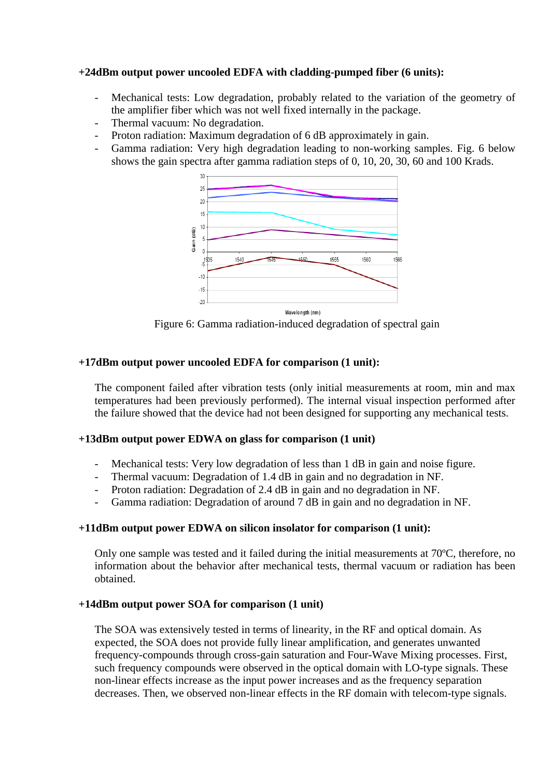#### **+24dBm output power uncooled EDFA with cladding-pumped fiber (6 units):**

- Mechanical tests: Low degradation, probably related to the variation of the geometry of the amplifier fiber which was not well fixed internally in the package.
- Thermal vacuum: No degradation.
- Proton radiation: Maximum degradation of 6 dB approximately in gain.
- Gamma radiation: Very high degradation leading to non-working samples. Fig. 6 below shows the gain spectra after gamma radiation steps of 0, 10, 20, 30, 60 and 100 Krads.



Figure 6: Gamma radiation-induced degradation of spectral gain

#### **+17dBm output power uncooled EDFA for comparison (1 unit):**

The component failed after vibration tests (only initial measurements at room, min and max temperatures had been previously performed). The internal visual inspection performed after the failure showed that the device had not been designed for supporting any mechanical tests.

#### **+13dBm output power EDWA on glass for comparison (1 unit)**

- Mechanical tests: Very low degradation of less than 1 dB in gain and noise figure.
- Thermal vacuum: Degradation of 1.4 dB in gain and no degradation in NF.
- Proton radiation: Degradation of 2.4 dB in gain and no degradation in NF.
- Gamma radiation: Degradation of around 7 dB in gain and no degradation in NF.

#### **+11dBm output power EDWA on silicon insolator for comparison (1 unit):**

Only one sample was tested and it failed during the initial measurements at 70ºC, therefore, no information about the behavior after mechanical tests, thermal vacuum or radiation has been obtained.

#### **+14dBm output power SOA for comparison (1 unit)**

The SOA was extensively tested in terms of linearity, in the RF and optical domain. As expected, the SOA does not provide fully linear amplification, and generates unwanted frequency-compounds through cross-gain saturation and Four-Wave Mixing processes. First, such frequency compounds were observed in the optical domain with LO-type signals. These non-linear effects increase as the input power increases and as the frequency separation decreases. Then, we observed non-linear effects in the RF domain with telecom-type signals.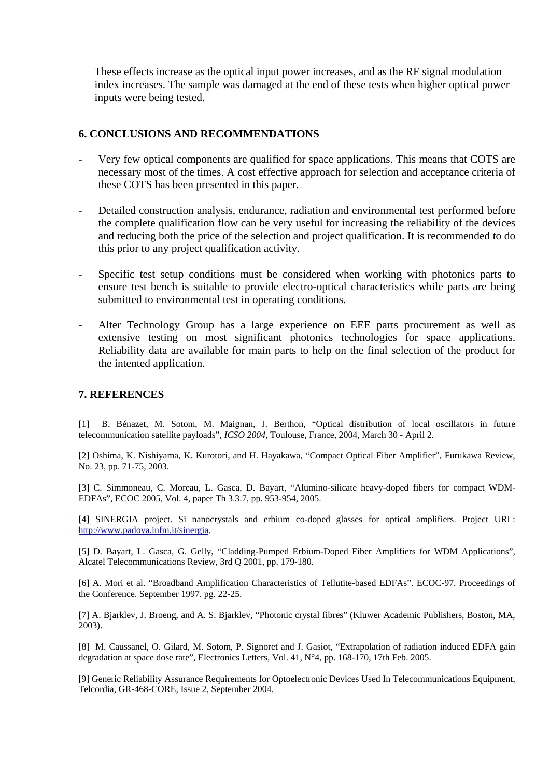These effects increase as the optical input power increases, and as the RF signal modulation index increases. The sample was damaged at the end of these tests when higher optical power inputs were being tested.

#### **6. CONCLUSIONS AND RECOMMENDATIONS**

- Very few optical components are qualified for space applications. This means that COTS are necessary most of the times. A cost effective approach for selection and acceptance criteria of these COTS has been presented in this paper.
- Detailed construction analysis, endurance, radiation and environmental test performed before the complete qualification flow can be very useful for increasing the reliability of the devices and reducing both the price of the selection and project qualification. It is recommended to do this prior to any project qualification activity.
- Specific test setup conditions must be considered when working with photonics parts to ensure test bench is suitable to provide electro-optical characteristics while parts are being submitted to environmental test in operating conditions.
- Alter Technology Group has a large experience on EEE parts procurement as well as extensive testing on most significant photonics technologies for space applications. Reliability data are available for main parts to help on the final selection of the product for the intented application.

#### **7. REFERENCES**

[1] B. Bénazet, M. Sotom, M. Maignan, J. Berthon, "Optical distribution of local oscillators in future telecommunication satellite payloads", *ICSO 2004*, Toulouse, France, 2004, March 30 - April 2.

[2] Oshima, K. Nishiyama, K. Kurotori, and H. Hayakawa, "Compact Optical Fiber Amplifier", Furukawa Review, No. 23, pp. 71-75, 2003.

[3] C. Simmoneau, C. Moreau, L. Gasca, D. Bayart, "Alumino-silicate heavy-doped fibers for compact WDM-EDFAs", ECOC 2005, Vol. 4, paper Th 3.3.7, pp. 953-954, 2005.

[4] SINERGIA project. Si nanocrystals and erbium co-doped glasses for optical amplifiers. Project URL: [http://www.padova.infm.it/sinergia.](http://www.padova.infm.it/sinergia)

[5] D. Bayart, L. Gasca, G. Gelly, "Cladding-Pumped Erbium-Doped Fiber Amplifiers for WDM Applications", Alcatel Telecommunications Review, 3rd Q 2001, pp. 179-180.

[6] A. Mori et al. "Broadband Amplification Characteristics of Tellutite-based EDFAs". ECOC-97. Proceedings of the Conference. September 1997. pg. 22-25.

[7] A. Bjarklev, J. Broeng, and A. S. Bjarklev, "Photonic crystal fibres" (Kluwer Academic Publishers, Boston, MA, 2003).

[8] M. Caussanel, O. Gilard, M. Sotom, P. Signoret and J. Gasiot, "Extrapolation of radiation induced EDFA gain degradation at space dose rate", Electronics Letters, Vol. 41, N°4, pp. 168-170, 17th Feb. 2005.

[9] Generic Reliability Assurance Requirements for Optoelectronic Devices Used In Telecommunications Equipment, Telcordia, GR-468-CORE, Issue 2, September 2004.